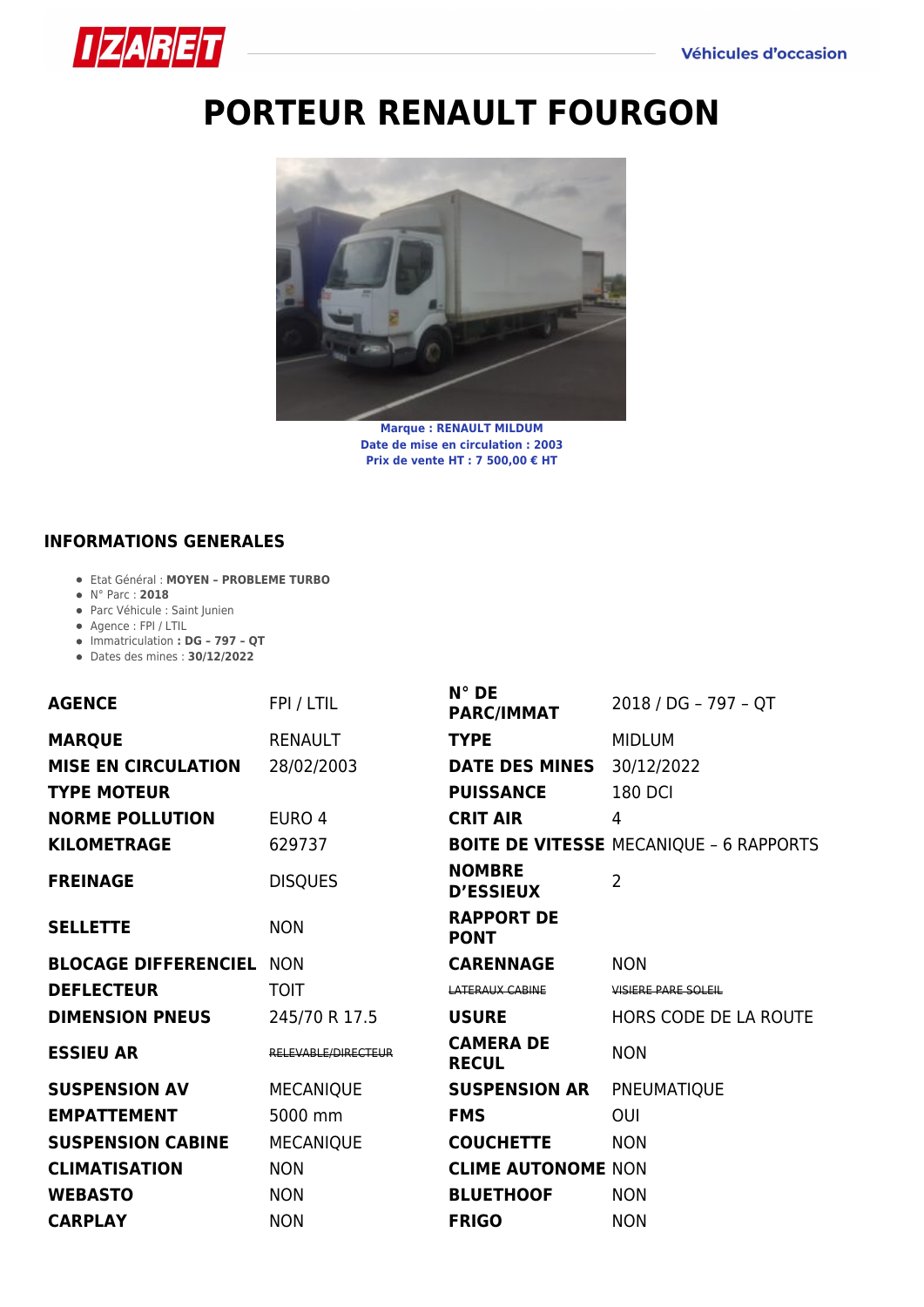

## **[PORTEUR RENAULT FOURGON](https://izaret.fr/blog/2022/05/05/porteur-fourgon/)**



**Marque : RENAULT MILDUM Date de mise en circulation : 2003 Prix de vente HT : 7 500,00 € HT**

## **INFORMATIONS GENERALES**

- Etat Général : **MOYEN PROBLEME TURBO**
- N° Parc : **2018**
- Parc Véhicule : Saint Junien
- Agence : FPI / LTIL
- Immatriculation **: DG 797 QT**
- Dates des mines : **30/12/2022**

| <b>AGENCE</b>               | FPI / LTIL          | $N^{\circ}$ DE<br><b>PARC/IMMAT</b> | 2018 / DG - 797 - QT                           |
|-----------------------------|---------------------|-------------------------------------|------------------------------------------------|
| <b>MARQUE</b>               | <b>RENAULT</b>      | <b>TYPE</b>                         | <b>MIDLUM</b>                                  |
| <b>MISE EN CIRCULATION</b>  | 28/02/2003          | <b>DATE DES MINES</b>               | 30/12/2022                                     |
| <b>TYPE MOTEUR</b>          |                     | <b>PUISSANCE</b>                    | <b>180 DCI</b>                                 |
| <b>NORME POLLUTION</b>      | EURO 4              | <b>CRIT AIR</b>                     | 4                                              |
| <b>KILOMETRAGE</b>          | 629737              |                                     | <b>BOITE DE VITESSE MECANIQUE - 6 RAPPORTS</b> |
| <b>FREINAGE</b>             | <b>DISQUES</b>      | <b>NOMBRE</b><br><b>D'ESSIEUX</b>   | $\overline{2}$                                 |
| <b>SELLETTE</b>             | <b>NON</b>          | <b>RAPPORT DE</b><br><b>PONT</b>    |                                                |
| <b>BLOCAGE DIFFERENCIEL</b> | <b>NON</b>          | <b>CARENNAGE</b>                    | <b>NON</b>                                     |
| <b>DEFLECTEUR</b>           | <b>TOIT</b>         | LATERAUX CABINE                     | <b>VISIERE PARE SOLEIL</b>                     |
| <b>DIMENSION PNEUS</b>      | 245/70 R 17.5       | <b>USURE</b>                        | HORS CODE DE LA ROUTE                          |
| <b>ESSIEU AR</b>            | RELEVABLE/DIRECTEUR | <b>CAMERA DE</b><br><b>RECUL</b>    | <b>NON</b>                                     |
| <b>SUSPENSION AV</b>        | <b>MECANIQUE</b>    | <b>SUSPENSION AR</b>                | PNEUMATIQUE                                    |
| <b>EMPATTEMENT</b>          | 5000 mm             | <b>FMS</b>                          | OUI                                            |
| <b>SUSPENSION CABINE</b>    | <b>MECANIQUE</b>    | <b>COUCHETTE</b>                    | <b>NON</b>                                     |
| <b>CLIMATISATION</b>        | <b>NON</b>          | <b>CLIME AUTONOME NON</b>           |                                                |
| <b>WEBASTO</b>              | <b>NON</b>          | <b>BLUETHOOF</b>                    | <b>NON</b>                                     |
| <b>CARPLAY</b>              | <b>NON</b>          | <b>FRIGO</b>                        | <b>NON</b>                                     |